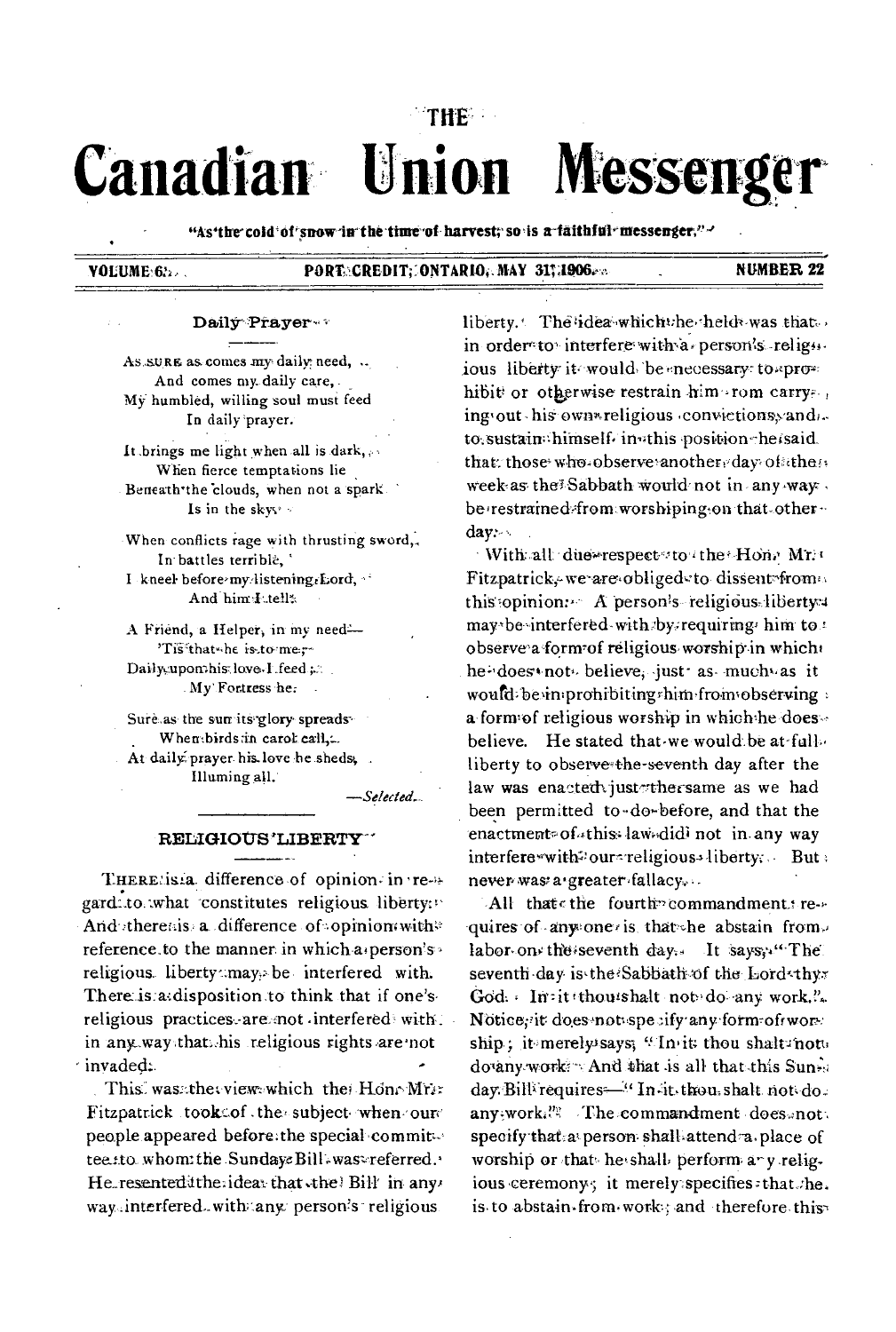# **THE** Union **Canadian** Messenger

"As'the cold of snow in the time of harvest, so is a faithful messenger,"-

VOLUME 62.

## PORTECREDIT; ONTARIO, MAY 31, 1906.

# **NUMBER 22**

# Daily Prayer

As SURE as comes my daily need, ... And comes my daily care,. My humbled, willing soul must feed In daily prayer.

It brings me light when all is dark, as When fierce temptations lie Beneath the clouds, when not a spark. Is in the skys:

When conflicts rage with thrusting sword,. In battles terrible, I kneel before my listening Lord, And him I tells

A Friend, a Helper, in my need-'Tisthatshe is to me;-Daily upomhistlove I feed; My Fortress he.

Sure as the sun its glory spreads. When birds in carol call,... At daily prayer his love he sheds, Illuming all.

Selected.

## RELIGIOUS'LIBERTY

THERE is a difference of opinion. in regard to what constitutes religious liberty. And thereals a difference of opinion with reference to the manner in which a person's religious liberty may, be interfered with. There is adisposition to think that if one's. religious practices. are not interfered with. in any way that his religious rights are not invaded.

This was the view which the Hone Mri: Fitzpatrick took of the subject when our people appeared before the special committee.tto.whom:the.SundaysBill.was-referred. He resented the ideas that the Bill in any way interfered with any person's religious

liberty. The idea which the helds was that. in order to interfere with a person's religiious liberty it would be necessary to sprohibit or otherwise restrain him rom carry. ingvout his own vreligious convictions, and. to sustain himself in this position he said. that: those who observe another day of the week as the Sabbath would not in any way. be restrained from worshiping on that other  $day:~$ 

With all due-respect to the Hon. Mr. Fitzpatrick, we are obliged to dissent from this topinion. A person's religious liberty: may be interfered with by requiring him to : observe a form of religious worship in which hendoes not believe, just as much as it would be in prohibiting thim from observing. a form of religious worship in which he does believe. He stated that we would be at full. liberty to observe the seventh day after the law was enacted iustother same as we had been permitted to-do-before, and that the enactment=of-this-law-didi not in any way interfere with our religious liberty; But: never was a greater fallacy...

All that cthe fourth commandment: requires of any one is that the abstain from. labor-on the seventh day. It says: "The seventh day is the Sabbath of the Lord thyr God. In: it thous halt not do any work.". Notice, it does not specify any form of wore ship; it merely says; "In it thou shalt not dovany work: And that is all that this Sunday. Billvrequires-"In-it-thou-shalt not-doany work." The commandment does not specify that a person shall attend a place of worship or that he shall perform ary religious ceremony; it merely specifies that he. is to abstain from work; and therefore this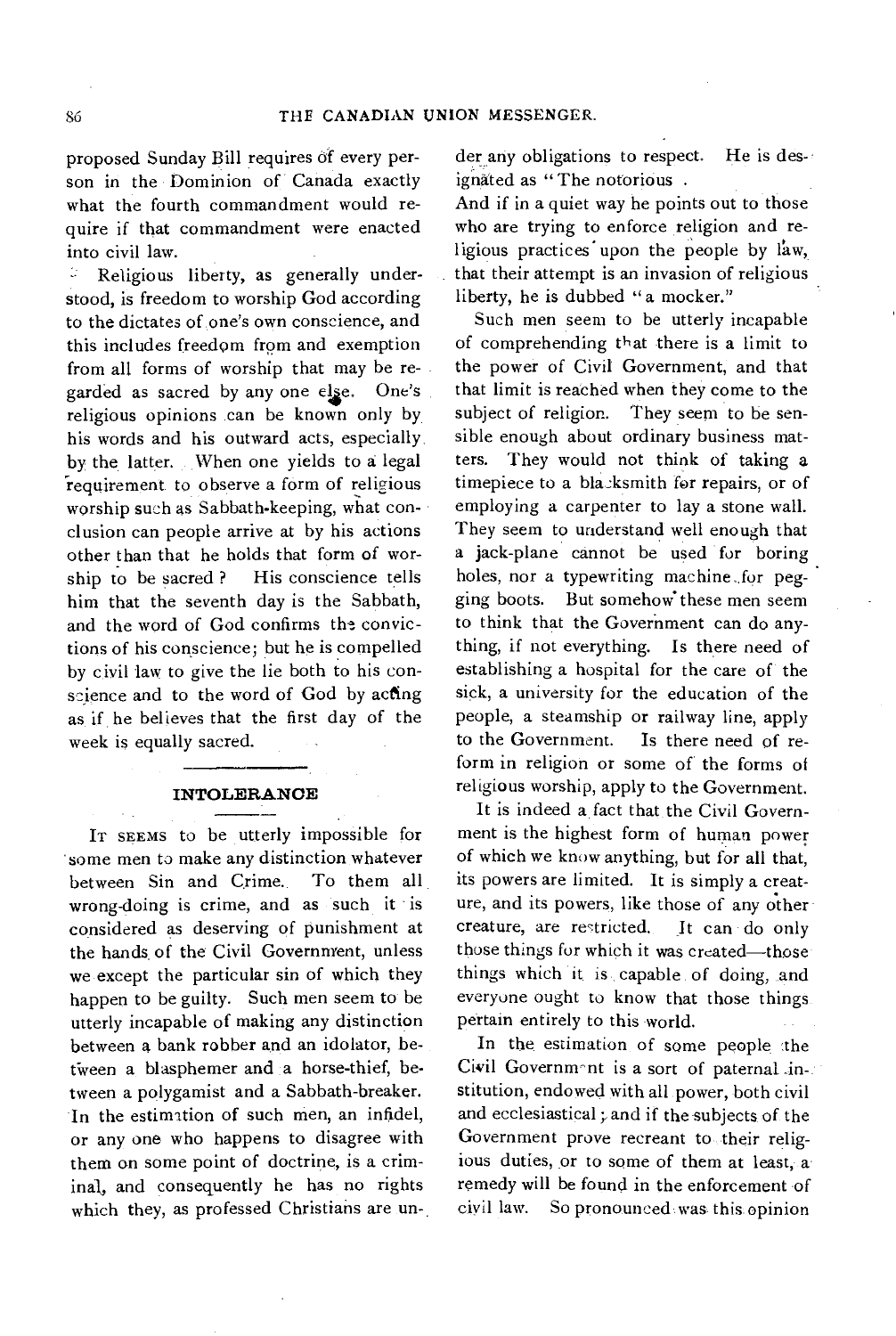proposed Sunday Bill requires of every person in the Dominion of Canada exactly what the fourth commandment would require if that commandment were enacted into civil law.

Religious liberty, as generally understood, is freedom to worship God according to the dictates of, one's own conscience, and this includes freedom from and exemption from all forms of worship that may be regarded as sacred by any one else. One's religious opinions can be known only by his words and his outward acts, especially, by the latter. When one yields to a legal requirement to observe a form of religious  $\frac{1}{2}$ worship such as Sabbath-keeping, what conclusion can people arrive at by his actions other than that he holds that form of worship to be sacred ? His conscience tells him that the seventh day is the Sabbath, and the word of God confirms the convictions of his conscience; but he is compelled by civil law to give the lie both to his conscience and to the word of God by acting as if he believes that the first day of the week is equally sacred.

## **INTOLERANCE**

IT SEEMS to be utterly impossible for some men to make any distinction whatever between Sin and Crime. To them all wrong-doing is crime, and as such it is considered as deserving of punishment at the hands of the Civil Governnrent, unless we except the particular sin of which they happen to be guilty. Such men seem to be utterly incapable of making any distinction between a bank robber and an idolator, between a blasphemer and a horse-thief, between a polygamist and a Sabbath-breaker. In the estimation of such men, an infidel, or any one who happens to disagree with them on some point of doctrine, is a criminal, and consequently he has no rights which they, as professed Christians are under any obligations to respect. He is des ignated as "The notorious.

And if in a quiet way he points out to those who are trying to enforce religion and religious practices upon the people by law, that their attempt is an invasion of religious liberty, he is dubbed "a mocker."

Such men seem to be utterly incapable of comprehending that there is a limit to the power of Civil Government, and that that limit is reached when they come to the subject of religion. They seem to be sensible enough about ordinary business matters. They would not think of taking a timepiece to a bla2ksmith for repairs, or of employing a carpenter to lay a stone wall. They seem to understand well enough that a jack-plane cannot be used for boring holes, nor a typewriting machine for pegging boots. But somehow these men seem to think that the Government can do anything, if not everything. Is there need of establishing a hospital for the care of the sick, a university for the education of the people, a steamship or railway line, apply to the Government. Is there need of reform in religion or some of the forms of religious worship, apply to the Government.

It is indeed a fact that the Civil Government is the highest form of human power of which we know anything, but for all that, its powers are limited. It is simply a creature, and its powers, like those of any other creature, are restricted. It can do only those things fur which it was created—those things which it is capable of doing, and everyone ought to know that those things pertain entirely to this world.

In the estimation of some people the Civil Government is a sort of paternal  $\sin$ stitution, endowed with all power, both civil and ecclesiastical ; and if the subjects of the Government prove recreant to their religious duties, or to some of them at least, aremedy will be found in the enforcement of civil law. So pronounced was this. opinion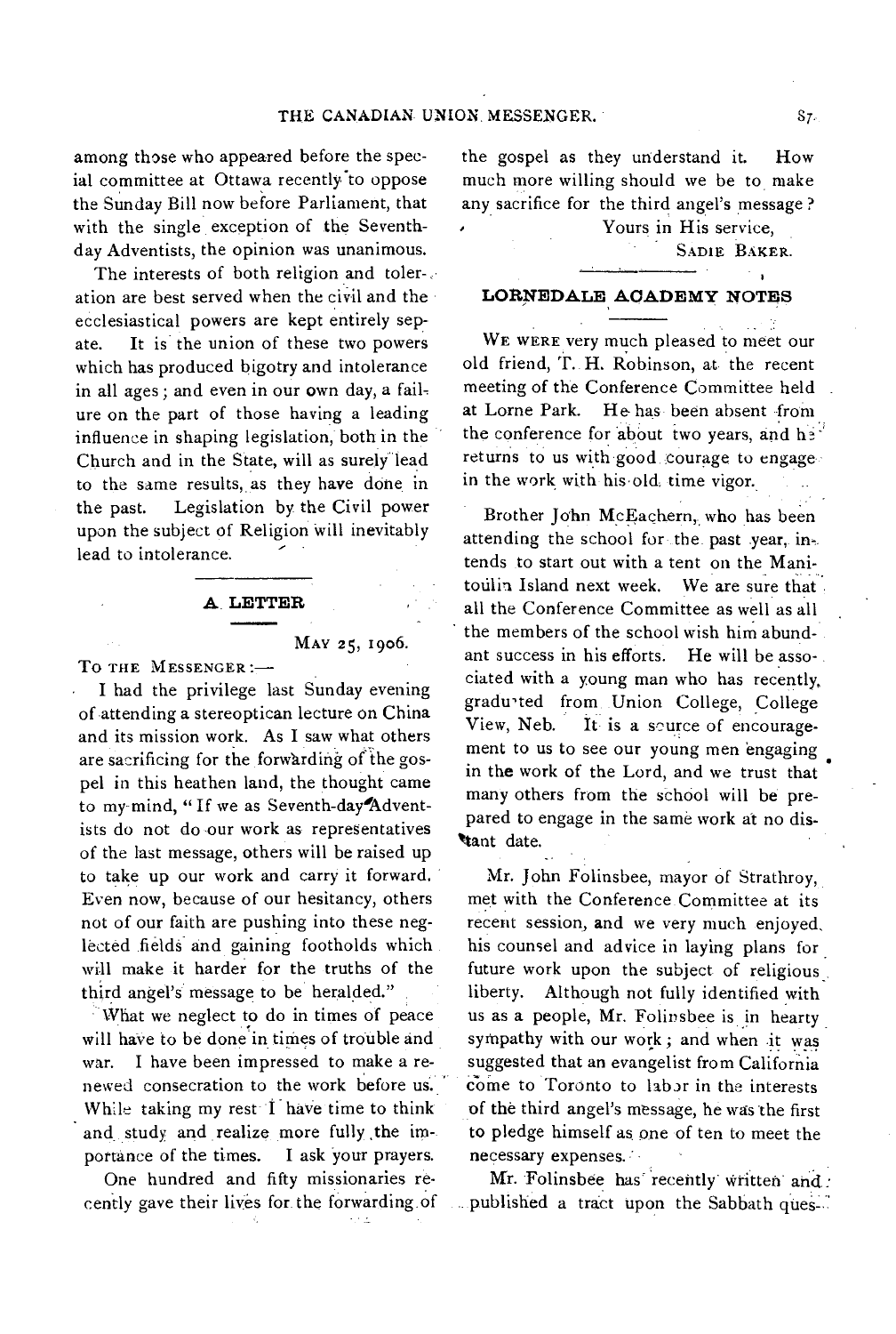among those who appeared before the special committee at Ottawa recently to oppose the Sunday Bill now before Parliament, that with the single exception of the Seventhday Adventists, the opinion was unanimous.

The interests of both religion and toler-. ation are best served when the civil and the ecclesiastical powers are kept entirely sepate. It is the union of these two powers which has produced bigotry and intolerance in all ages ; and even in our own day, a failure on the part of those having a leading influence in shaping legislation, both in the Church and in the State, will as surely lead to the same results, as they have done in the past. Legislation by the Civil power upon the subject of Religion will inevitably lead to intolerance.

# **A. LETTER**

#### MAY 25, 1906.

TO THE MESSENGER :-

I had the privilege last Sunday evening of attending a stereoptican lecture on China and its mission work. As I saw what others are sacrificing for the forwarding of the gospel in this heathen land, the thought came to my-mind, "If we as Seventh-day'Adventists do not do our work as representatives of the last message, others will be raised up to take up our work and carry it forward. Even now, because of our hesitancy, others not of our faith are pushing into these neglected fields and gaining footholds which will make it harder for the truths of the third angel's message to be heralded."

What we neglect to do in times of peace will have to be done in times of trouble and war. I have been impressed to make a renewed consecration to the work before us. While taking my rest 1 have time to think and\_ study and realize more fully ,the importance of the times. I ask your prayers.

One hundred and fifty missionaries recently gave their lives for the forwarding of the gospel as they understand it. How much more willing should we be to make any sacrifice for the third angel's message ?

Yours in His service,

SADIE BAKER.

# **LORNEDALE ACADEMY NOTES**

WE WERE very much pleased to meet our old friend, T. H. Robinson, at the recent meeting of the Conference Committee held at Lorne Park. He has been absent from the conference for about two years, and he returns to us with good courage to engage in the work with his old, time vigor.

Brother John McEachern, who has been attending the school for the past year, intends to start out with a tent on the Manitoulin Island next week. We are sure that all the Conference Committee as well as all the members of the school wish him abundant success in his efforts. He will be associated with a young man who has recently, gradu'ted from Union College, College View, Neb. It is a scurce of encouragement to us to see our young men engaging in the work of the Lord, and we trust that many others from the school will be prepared to engage in the same work at no distant date.

Mr. John Folinsbee, mayor of Strathroy, met with the Conference. Committee at its recent session, and we very much enjoyed, his counsel and advice in laying plans for future work upon the subject of religious liberty. Although not fully identified with us as a people, Mr. Folinsbee is in hearty sympathy with our work ; and when it was suggested that an evangelist from California come to Toronto to labor in the interests of the third angel's message, he was the first to pledge himself as one of ten to meet the necessary expenses." •

Mr. Folinsbee has recently written and: . published a tract upon the Sabbath ques-